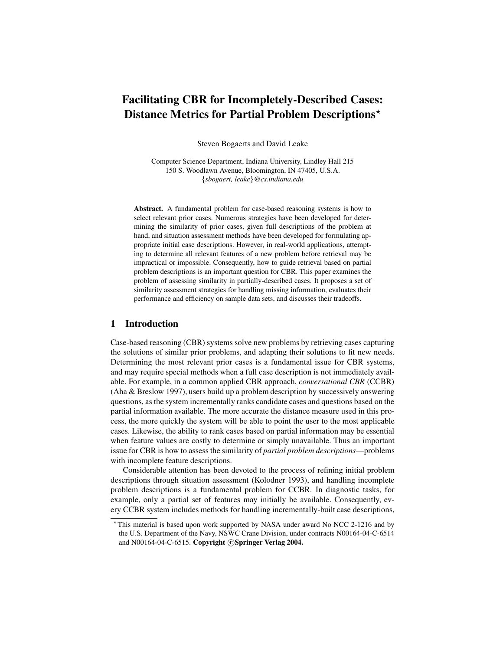# **Facilitating CBR for Incompletely-Described Cases: Distance Metrics for Partial Problem Descriptions**?

Steven Bogaerts and David Leake

Computer Science Department, Indiana University, Lindley Hall 215 150 S. Woodlawn Avenue, Bloomington, IN 47405, U.S.A. {*sbogaert, leake*}*@cs.indiana.edu*

**Abstract.** A fundamental problem for case-based reasoning systems is how to select relevant prior cases. Numerous strategies have been developed for determining the similarity of prior cases, given full descriptions of the problem at hand, and situation assessment methods have been developed for formulating appropriate initial case descriptions. However, in real-world applications, attempting to determine all relevant features of a new problem before retrieval may be impractical or impossible. Consequently, how to guide retrieval based on partial problem descriptions is an important question for CBR. This paper examines the problem of assessing similarity in partially-described cases. It proposes a set of similarity assessment strategies for handling missing information, evaluates their performance and efficiency on sample data sets, and discusses their tradeoffs.

## **1 Introduction**

Case-based reasoning (CBR) systems solve new problems by retrieving cases capturing the solutions of similar prior problems, and adapting their solutions to fit new needs. Determining the most relevant prior cases is a fundamental issue for CBR systems, and may require special methods when a full case description is not immediately available. For example, in a common applied CBR approach, *conversational CBR* (CCBR) (Aha & Breslow 1997), users build up a problem description by successively answering questions, as the system incrementally ranks candidate cases and questions based on the partial information available. The more accurate the distance measure used in this process, the more quickly the system will be able to point the user to the most applicable cases. Likewise, the ability to rank cases based on partial information may be essential when feature values are costly to determine or simply unavailable. Thus an important issue for CBR is how to assess the similarity of *partial problem descriptions*—problems with incomplete feature descriptions.

Considerable attention has been devoted to the process of refining initial problem descriptions through situation assessment (Kolodner 1993), and handling incomplete problem descriptions is a fundamental problem for CCBR. In diagnostic tasks, for example, only a partial set of features may initially be available. Consequently, every CCBR system includes methods for handling incrementally-built case descriptions,

<sup>?</sup> This material is based upon work supported by NASA under award No NCC 2-1216 and by the U.S. Department of the Navy, NSWC Crane Division, under contracts N00164-04-C-6514 and N00164-04-C-6515. **Copyright c Springer Verlag 2004.**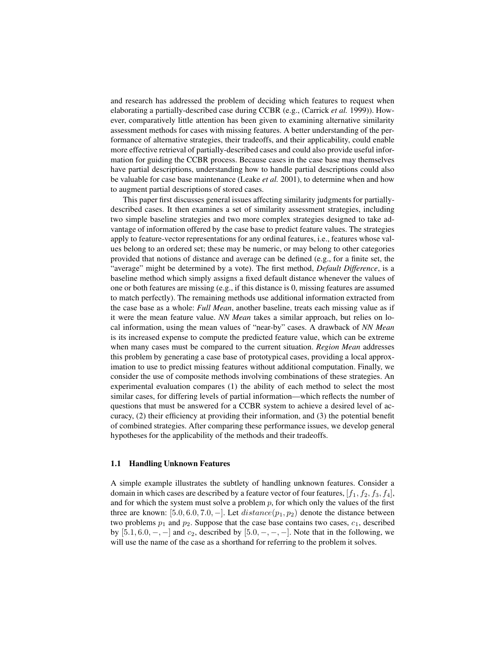and research has addressed the problem of deciding which features to request when elaborating a partially-described case during CCBR (e.g., (Carrick *et al.* 1999)). However, comparatively little attention has been given to examining alternative similarity assessment methods for cases with missing features. A better understanding of the performance of alternative strategies, their tradeoffs, and their applicability, could enable more effective retrieval of partially-described cases and could also provide useful information for guiding the CCBR process. Because cases in the case base may themselves have partial descriptions, understanding how to handle partial descriptions could also be valuable for case base maintenance (Leake *et al.* 2001), to determine when and how to augment partial descriptions of stored cases.

This paper first discusses general issues affecting similarity judgments for partiallydescribed cases. It then examines a set of similarity assessment strategies, including two simple baseline strategies and two more complex strategies designed to take advantage of information offered by the case base to predict feature values. The strategies apply to feature-vector representations for any ordinal features, i.e., features whose values belong to an ordered set; these may be numeric, or may belong to other categories provided that notions of distance and average can be defined (e.g., for a finite set, the "average" might be determined by a vote). The first method, *Default Difference*, is a baseline method which simply assigns a fixed default distance whenever the values of one or both features are missing (e.g., if this distance is 0, missing features are assumed to match perfectly). The remaining methods use additional information extracted from the case base as a whole: *Full Mean*, another baseline, treats each missing value as if it were the mean feature value. *NN Mean* takes a similar approach, but relies on local information, using the mean values of "near-by" cases. A drawback of *NN Mean* is its increased expense to compute the predicted feature value, which can be extreme when many cases must be compared to the current situation. *Region Mean* addresses this problem by generating a case base of prototypical cases, providing a local approximation to use to predict missing features without additional computation. Finally, we consider the use of composite methods involving combinations of these strategies. An experimental evaluation compares (1) the ability of each method to select the most similar cases, for differing levels of partial information—which reflects the number of questions that must be answered for a CCBR system to achieve a desired level of accuracy, (2) their efficiency at providing their information, and (3) the potential benefit of combined strategies. After comparing these performance issues, we develop general hypotheses for the applicability of the methods and their tradeoffs.

#### **1.1 Handling Unknown Features**

A simple example illustrates the subtlety of handling unknown features. Consider a domain in which cases are described by a feature vector of four features,  $[f_1, f_2, f_3, f_4]$ , and for which the system must solve a problem  $p$ , for which only the values of the first three are known: [5.0, 6.0, 7.0, -]. Let  $distance(p_1, p_2)$  denote the distance between two problems  $p_1$  and  $p_2$ . Suppose that the case base contains two cases,  $c_1$ , described by  $[5.1, 6.0, -, -]$  and  $c_2$ , described by  $[5.0, -, -, -]$ . Note that in the following, we will use the name of the case as a shorthand for referring to the problem it solves.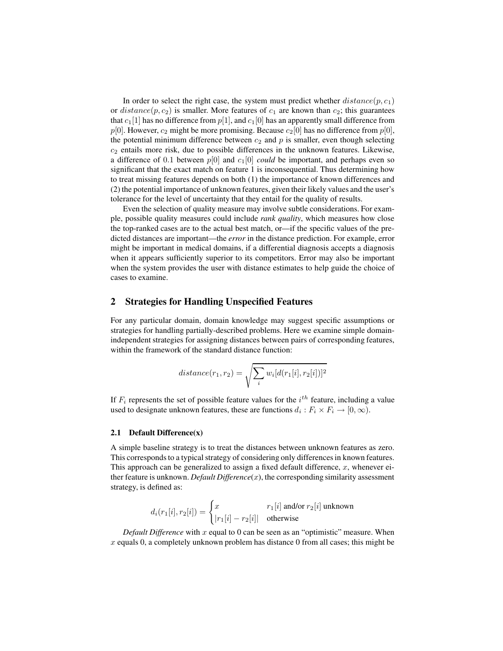In order to select the right case, the system must predict whether  $distance(p, c_1)$ or  $distance(p, c_2)$  is smaller. More features of  $c_1$  are known than  $c_2$ ; this guarantees that  $c_1[1]$  has no difference from  $p[1]$ , and  $c_1[0]$  has an apparently small difference from  $p[0]$ . However,  $c_2$  might be more promising. Because  $c_2[0]$  has no difference from  $p[0]$ , the potential minimum difference between  $c_2$  and  $p$  is smaller, even though selecting  $c_2$  entails more risk, due to possible differences in the unknown features. Likewise, a difference of 0.1 between  $p[0]$  and  $c_1[0]$  *could* be important, and perhaps even so significant that the exact match on feature 1 is inconsequential. Thus determining how to treat missing features depends on both (1) the importance of known differences and (2) the potential importance of unknown features, given their likely values and the user's tolerance for the level of uncertainty that they entail for the quality of results.

Even the selection of quality measure may involve subtle considerations. For example, possible quality measures could include *rank quality*, which measures how close the top-ranked cases are to the actual best match, or—if the specific values of the predicted distances are important—the *error* in the distance prediction. For example, error might be important in medical domains, if a differential diagnosis accepts a diagnosis when it appears sufficiently superior to its competitors. Error may also be important when the system provides the user with distance estimates to help guide the choice of cases to examine.

# **2 Strategies for Handling Unspecified Features**

For any particular domain, domain knowledge may suggest specific assumptions or strategies for handling partially-described problems. Here we examine simple domainindependent strategies for assigning distances between pairs of corresponding features, within the framework of the standard distance function:

$$
distance(r_1, r_2) = \sqrt{\sum_i w_i [d(r_1[i], r_2[i])]^2}
$$

If  $F_i$  represents the set of possible feature values for the  $i^{th}$  feature, including a value used to designate unknown features, these are functions  $d_i : F_i \times F_i \to [0, \infty)$ .

#### **2.1 Default Difference(x)**

A simple baseline strategy is to treat the distances between unknown features as zero. This corresponds to a typical strategy of considering only differences in known features. This approach can be generalized to assign a fixed default difference,  $x$ , whenever either feature is unknown. *Default Difference* $(x)$ , the corresponding similarity assessment strategy, is defined as:

$$
d_i(r_1[i], r_2[i]) = \begin{cases} x & r_1[i] \text{ and/or } r_2[i] \text{ unknown} \\ |r_1[i] - r_2[i]| & \text{otherwise} \end{cases}
$$

*Default Difference* with  $x$  equal to 0 can be seen as an "optimistic" measure. When  $x$  equals 0, a completely unknown problem has distance 0 from all cases; this might be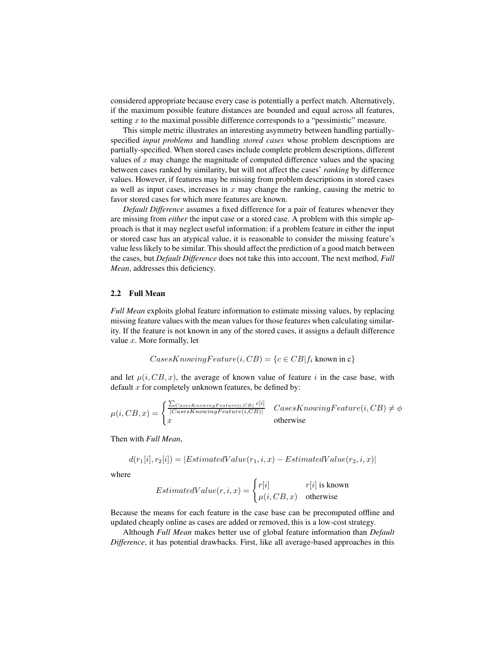considered appropriate because every case is potentially a perfect match. Alternatively, if the maximum possible feature distances are bounded and equal across all features, setting  $x$  to the maximal possible difference corresponds to a "pessimistic" measure.

This simple metric illustrates an interesting asymmetry between handling partiallyspecified *input problems* and handling *stored cases* whose problem descriptions are partially-specified. When stored cases include complete problem descriptions, different values of x may change the magnitude of computed difference values and the spacing between cases ranked by similarity, but will not affect the cases' *ranking* by difference values. However, if features may be missing from problem descriptions in stored cases as well as input cases, increases in  $x$  may change the ranking, causing the metric to favor stored cases for which more features are known.

*Default Difference* assumes a fixed difference for a pair of features whenever they are missing from *either* the input case or a stored case. A problem with this simple approach is that it may neglect useful information: if a problem feature in either the input or stored case has an atypical value, it is reasonable to consider the missing feature's value less likely to be similar. This should affect the prediction of a good match between the cases, but *Default Difference* does not take this into account. The next method, *Full Mean*, addresses this deficiency.

# **2.2 Full Mean**

*Full Mean* exploits global feature information to estimate missing values, by replacing missing feature values with the mean values for those features when calculating similarity. If the feature is not known in any of the stored cases, it assigns a default difference value x. More formally, let

$$
CasesKnowingFeature(i, CB) = \{c \in CB | f_i \text{ known in } c\}
$$

and let  $\mu(i, CB, x)$ , the average of known value of feature i in the case base, with default  $x$  for completely unknown features, be defined by:

$$
\mu(i, CB, x) = \begin{cases} \frac{\sum_{Case \in KnowingFeature(i, CB)} c[i]}{[CasesKnowingFeature(i, CB)]} & \text{Cases} \times \text{nowingFeature}(i, CB) \neq \phi \\ x & \text{otherwise} \end{cases}
$$

Then with *Full Mean*,

$$
d(r_1[i],r_2[i]) = |\mathit{EstimatedValue}(r_1,i,x) - \mathit{EstimatedValue}(r_2,i,x)|
$$

where

$$
EstimatedValue(r, i, x) = \begin{cases} r[i] & r[i] \text{ is known} \\ \mu(i, CB, x) & \text{otherwise} \end{cases}
$$

Because the means for each feature in the case base can be precomputed offline and updated cheaply online as cases are added or removed, this is a low-cost strategy.

Although *Full Mean* makes better use of global feature information than *Default Difference*, it has potential drawbacks. First, like all average-based approaches in this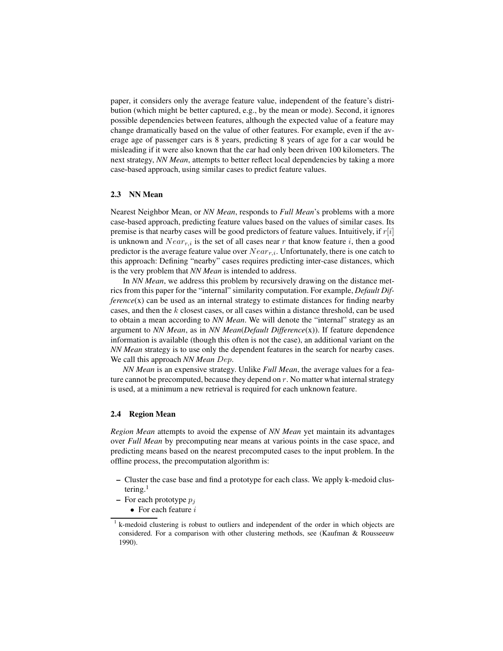paper, it considers only the average feature value, independent of the feature's distribution (which might be better captured, e.g., by the mean or mode). Second, it ignores possible dependencies between features, although the expected value of a feature may change dramatically based on the value of other features. For example, even if the average age of passenger cars is 8 years, predicting 8 years of age for a car would be misleading if it were also known that the car had only been driven 100 kilometers. The next strategy, *NN Mean*, attempts to better reflect local dependencies by taking a more case-based approach, using similar cases to predict feature values.

## **2.3 NN Mean**

Nearest Neighbor Mean, or *NN Mean*, responds to *Full Mean*'s problems with a more case-based approach, predicting feature values based on the values of similar cases. Its premise is that nearby cases will be good predictors of feature values. Intuitively, if  $r[i]$ is unknown and  $Near_{r,i}$  is the set of all cases near r that know feature i, then a good predictor is the average feature value over  $Near_{r,i}$ . Unfortunately, there is one catch to this approach: Defining "nearby" cases requires predicting inter-case distances, which is the very problem that *NN Mean* is intended to address.

In *NN Mean*, we address this problem by recursively drawing on the distance metrics from this paper for the "internal" similarity computation. For example, *Default Difference*(x) can be used as an internal strategy to estimate distances for finding nearby cases, and then the k closest cases, or all cases within a distance threshold, can be used to obtain a mean according to *NN Mean*. We will denote the "internal" strategy as an argument to *NN Mean*, as in *NN Mean*(*Default Difference*(x)). If feature dependence information is available (though this often is not the case), an additional variant on the *NN Mean* strategy is to use only the dependent features in the search for nearby cases. We call this approach *NN Mean* Dep.

*NN Mean* is an expensive strategy. Unlike *Full Mean*, the average values for a feature cannot be precomputed, because they depend on  $r$ . No matter what internal strategy is used, at a minimum a new retrieval is required for each unknown feature.

#### **2.4 Region Mean**

*Region Mean* attempts to avoid the expense of *NN Mean* yet maintain its advantages over *Full Mean* by precomputing near means at various points in the case space, and predicting means based on the nearest precomputed cases to the input problem. In the offline process, the precomputation algorithm is:

- **–** Cluster the case base and find a prototype for each class. We apply k-medoid clustering. $<sup>1</sup>$ </sup>
- **–** For each prototype  $p_j$ 
	- For each feature  $i$

<sup>&</sup>lt;sup>1</sup> k-medoid clustering is robust to outliers and independent of the order in which objects are considered. For a comparison with other clustering methods, see (Kaufman & Rousseeuw 1990).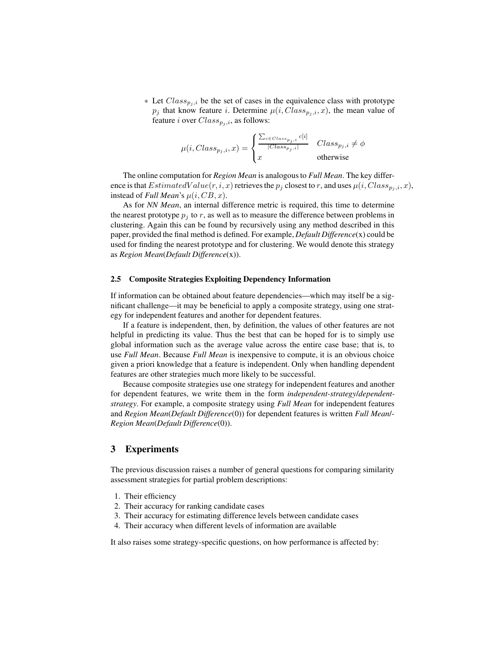$*$  Let  $Class_{p_i,i}$  be the set of cases in the equivalence class with prototype  $p_j$  that know feature *i*. Determine  $\mu(i, Class_{p_j,i}, x)$ , the mean value of feature *i* over  $Class_{p_i,i}$ , as follows:

$$
\mu(i, Class_{p_j,i}, x) = \begin{cases} \frac{\sum_{c \in Class_{p_j,i}} c[i]}{|Class_{p_j,i}|} & Class_{p_j,i} \neq \phi \\ x & \text{otherwise} \end{cases}
$$

The online computation for *Region Mean* is analogousto *Full Mean*. The key difference is that  $EstimatedValue(r, i, x)$  retrieves the  $p_j$  closest to r, and uses  $\mu(i, Class_{p_i, i}, x)$ , instead of *Full Mean*'s  $\mu(i, CB, x)$ .

As for *NN Mean*, an internal difference metric is required, this time to determine the nearest prototype  $p_i$  to r, as well as to measure the difference between problems in clustering. Again this can be found by recursively using any method described in this paper, provided the final method is defined. For example, *Default Difference*(x) could be used for finding the nearest prototype and for clustering. We would denote this strategy as *Region Mean*(*Default Difference*(x)).

### **2.5 Composite Strategies Exploiting Dependency Information**

If information can be obtained about feature dependencies—which may itself be a significant challenge—it may be beneficial to apply a composite strategy, using one strategy for independent features and another for dependent features.

If a feature is independent, then, by definition, the values of other features are not helpful in predicting its value. Thus the best that can be hoped for is to simply use global information such as the average value across the entire case base; that is, to use *Full Mean*. Because *Full Mean* is inexpensive to compute, it is an obvious choice given a priori knowledge that a feature is independent. Only when handling dependent features are other strategies much more likely to be successful.

Because composite strategies use one strategy for independent features and another for dependent features, we write them in the form *independent-strategy*/*dependentstrategy*. For example, a composite strategy using *Full Mean* for independent features and *Region Mean*(*Default Difference*(0)) for dependent features is written *Full Mean*/- *Region Mean*(*Default Difference*(0)).

## **3 Experiments**

The previous discussion raises a number of general questions for comparing similarity assessment strategies for partial problem descriptions:

- 1. Their efficiency
- 2. Their accuracy for ranking candidate cases
- 3. Their accuracy for estimating difference levels between candidate cases
- 4. Their accuracy when different levels of information are available

It also raises some strategy-specific questions, on how performance is affected by: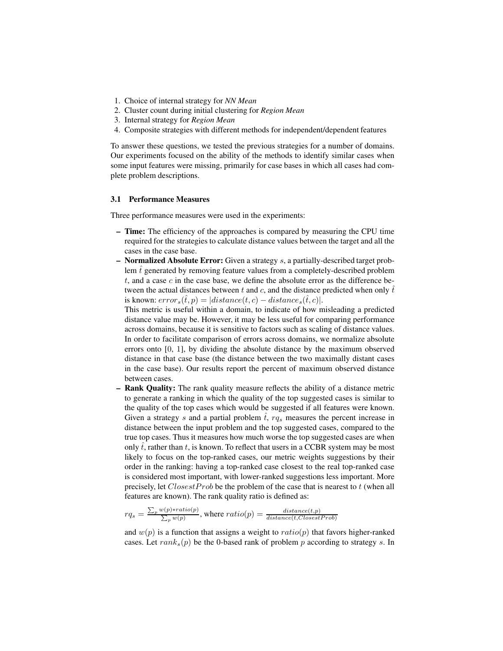- 1. Choice of internal strategy for *NN Mean*
- 2. Cluster count during initial clustering for *Region Mean*
- 3. Internal strategy for *Region Mean*
- 4. Composite strategies with different methods for independent/dependent features

To answer these questions, we tested the previous strategies for a number of domains. Our experiments focused on the ability of the methods to identify similar cases when some input features were missing, primarily for case bases in which all cases had complete problem descriptions.

## **3.1 Performance Measures**

Three performance measures were used in the experiments:

- **– Time:** The efficiency of the approaches is compared by measuring the CPU time required for the strategies to calculate distance values between the target and all the cases in the case base.
- **– Normalized Absolute Error:** Given a strategy s, a partially-described target problem  $\hat{t}$  generated by removing feature values from a completely-described problem  $t$ , and a case  $c$  in the case base, we define the absolute error as the difference between the actual distances between t and c, and the distance predicted when only  $\hat{t}$ is known:  $error_s(\hat{t}, p) = |distance(t, c) - distance_s(\hat{t}, c)|$ .

This metric is useful within a domain, to indicate of how misleading a predicted distance value may be. However, it may be less useful for comparing performance across domains, because it is sensitive to factors such as scaling of distance values. In order to facilitate comparison of errors across domains, we normalize absolute errors onto [0, 1], by dividing the absolute distance by the maximum observed distance in that case base (the distance between the two maximally distant cases in the case base). Our results report the percent of maximum observed distance between cases.

**– Rank Quality:** The rank quality measure reflects the ability of a distance metric to generate a ranking in which the quality of the top suggested cases is similar to the quality of the top cases which would be suggested if all features were known. Given a strategy s and a partial problem  $\hat{t}$ , rq<sub>s</sub> measures the percent increase in distance between the input problem and the top suggested cases, compared to the true top cases. Thus it measures how much worse the top suggested cases are when only  $\hat{t}$ , rather than t, is known. To reflect that users in a CCBR system may be most likely to focus on the top-ranked cases, our metric weights suggestions by their order in the ranking: having a top-ranked case closest to the real top-ranked case is considered most important, with lower-ranked suggestions less important. More precisely, let  $ClosestProb$  be the problem of the case that is nearest to t (when all features are known). The rank quality ratio is defined as:

$$
rq_s = \frac{\sum_{p} w(p) * ratio(p)}{\sum_{p} w(p)}, \text{ where } ratio(p) = \frac{distance(t, p)}{distance(t, Closes tProb)}
$$

and  $w(p)$  is a function that assigns a weight to  $ratio(p)$  that favors higher-ranked cases. Let  $rank<sub>s</sub>(p)$  be the 0-based rank of problem p according to strategy s. In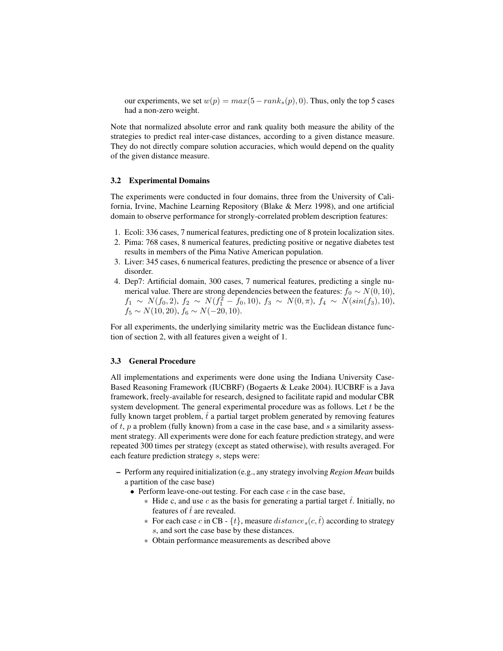our experiments, we set  $w(p) = max(5 - rank_s(p), 0)$ . Thus, only the top 5 cases had a non-zero weight.

Note that normalized absolute error and rank quality both measure the ability of the strategies to predict real inter-case distances, according to a given distance measure. They do not directly compare solution accuracies, which would depend on the quality of the given distance measure.

### **3.2 Experimental Domains**

The experiments were conducted in four domains, three from the University of California, Irvine, Machine Learning Repository (Blake & Merz 1998), and one artificial domain to observe performance for strongly-correlated problem description features:

- 1. Ecoli: 336 cases, 7 numerical features, predicting one of 8 protein localization sites.
- 2. Pima: 768 cases, 8 numerical features, predicting positive or negative diabetes test results in members of the Pima Native American population.
- 3. Liver: 345 cases, 6 numerical features, predicting the presence or absence of a liver disorder.
- 4. Dep7: Artificial domain, 300 cases, 7 numerical features, predicting a single numerical value. There are strong dependencies between the features:  $f_0 \sim N(0, 10)$ ,  $f_1 \sim N(f_0, 2), f_2 \sim N(f_1^2 - f_0, 10), f_3 \sim N(0, \pi), f_4 \sim N(sin(f_3), 10),$  $f_5 \sim N(10, 20), f_6 \sim N(-20, 10).$

For all experiments, the underlying similarity metric was the Euclidean distance function of section 2, with all features given a weight of 1.

## **3.3 General Procedure**

All implementations and experiments were done using the Indiana University Case-Based Reasoning Framework (IUCBRF) (Bogaerts & Leake 2004). IUCBRF is a Java framework, freely-available for research, designed to facilitate rapid and modular CBR system development. The general experimental procedure was as follows. Let  $t$  be the fully known target problem,  $\hat{t}$  a partial target problem generated by removing features of t, p a problem (fully known) from a case in the case base, and s a similarity assessment strategy. All experiments were done for each feature prediction strategy, and were repeated 300 times per strategy (except as stated otherwise), with results averaged. For each feature prediction strategy s, steps were:

- **–** Perform any required initialization (e.g., any strategy involving *Region Mean* builds a partition of the case base)
	- Perform leave-one-out testing. For each case  $c$  in the case base,
		- ∗ Hide c, and use c as the basis for generating a partial target  $\hat{t}$ . Initially, no features of  $\hat{t}$  are revealed.
		- $\ast$  For each case *c* in CB − {*t*}, measure *distance*<sub>s</sub>(*c*, *t*) according to strategy s, and sort the case base by these distances.
		- ∗ Obtain performance measurements as described above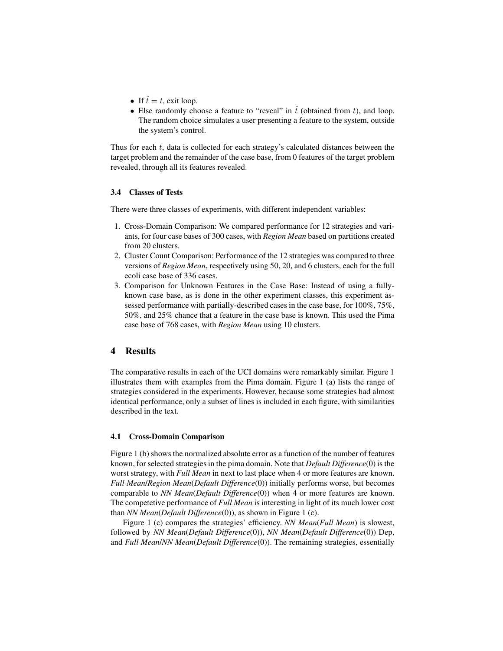- If  $\hat{t} = t$ , exit loop.
- Else randomly choose a feature to "reveal" in  $\hat{t}$  (obtained from t), and loop. The random choice simulates a user presenting a feature to the system, outside the system's control.

Thus for each  $t$ , data is collected for each strategy's calculated distances between the target problem and the remainder of the case base, from 0 features of the target problem revealed, through all its features revealed.

#### **3.4 Classes of Tests**

There were three classes of experiments, with different independent variables:

- 1. Cross-Domain Comparison: We compared performance for 12 strategies and variants, for four case bases of 300 cases, with *Region Mean* based on partitions created from 20 clusters.
- 2. Cluster Count Comparison: Performance of the 12 strategies was compared to three versions of *Region Mean*, respectively using 50, 20, and 6 clusters, each for the full ecoli case base of 336 cases.
- 3. Comparison for Unknown Features in the Case Base: Instead of using a fullyknown case base, as is done in the other experiment classes, this experiment assessed performance with partially-described cases in the case base, for 100%, 75%, 50%, and 25% chance that a feature in the case base is known. This used the Pima case base of 768 cases, with *Region Mean* using 10 clusters.

# **4 Results**

The comparative results in each of the UCI domains were remarkably similar. Figure 1 illustrates them with examples from the Pima domain. Figure 1 (a) lists the range of strategies considered in the experiments. However, because some strategies had almost identical performance, only a subset of lines is included in each figure, with similarities described in the text.

## **4.1 Cross-Domain Comparison**

Figure 1 (b) shows the normalized absolute error as a function of the number of features known, for selected strategies in the pima domain. Note that *Default Difference*(0) is the worst strategy, with *Full Mean* in next to last place when 4 or more features are known. *Full Mean*/*Region Mean*(*Default Difference*(0)) initially performs worse, but becomes comparable to *NN Mean*(*Default Difference*(0)) when 4 or more features are known. The competetive performance of *Full Mean* is interesting in light of its much lower cost than *NN Mean*(*Default Difference*(0)), as shown in Figure 1 (c).

Figure 1 (c) compares the strategies' efficiency. *NN Mean*(*Full Mean*) is slowest, followed by *NN Mean*(*Default Difference*(0)), *NN Mean*(*Default Difference*(0)) Dep, and *Full Mean*/*NN Mean*(*Default Difference*(0)). The remaining strategies, essentially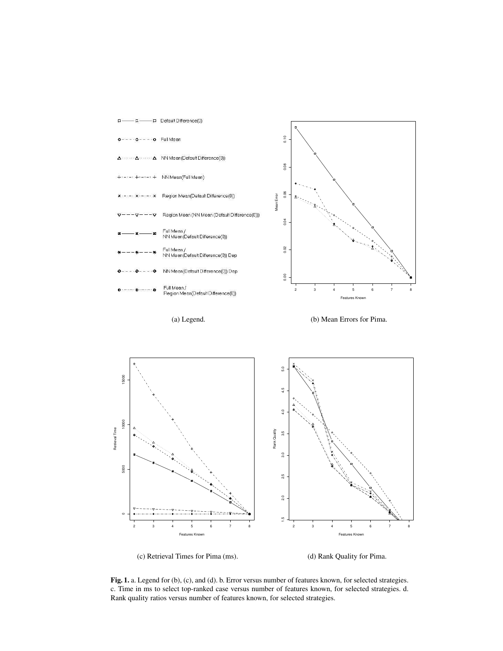

(c) Retrieval Times for Pima (ms).

(d) Rank Quality for Pima.

**Fig. 1.** a. Legend for (b), (c), and (d). b. Error versus number of features known, for selected strategies. c. Time in ms to select top-ranked case versus number of features known, for selected strategies. d. Rank quality ratios versus number of features known, for selected strategies.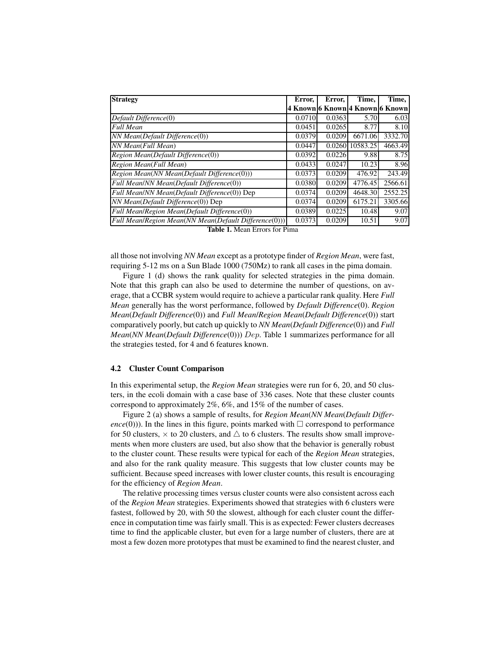| <b>Strategy</b>                                       | Error. | Error,                          | Time.           | Time,   |
|-------------------------------------------------------|--------|---------------------------------|-----------------|---------|
|                                                       |        | 4 Known 6 Known 4 Known 6 Known |                 |         |
| Default Difference(0)                                 | 0.0710 | 0.0363                          | 5.70            | 6.03    |
| <b>Full Mean</b>                                      | 0.0451 | 0.0265                          | 8.77            | 8.10    |
| NN Mean(Default Difference(0))                        | 0.0379 | 0.0209                          | 6671.06         | 3332.70 |
| NN Mean(Full Mean)                                    | 0.0447 |                                 | 0.0260 10583.25 | 4663.49 |
| Region Mean(Default Difference(0))                    | 0.0392 | 0.0226                          | 9.88            | 8.75    |
| Region Mean(Full Mean)                                | 0.0433 | 0.0247                          | 10.23           | 8.96    |
| Region Mean(NN Mean(Default Difference(0)))           | 0.0373 | 0.0209                          | 476.92          | 243.49  |
| Full Mean/NN Mean(Default Difference(0))              | 0.0380 | 0.0209                          | 4776.45         | 2566.61 |
| Full Mean/NN Mean(Default Difference(0)) Dep          | 0.0374 | 0.0209                          | 4648.30         | 2552.25 |
| NN Mean(Default Difference(0)) Dep                    | 0.0374 | 0.0209                          | 6175.21         | 3305.66 |
| Full Mean/Region Mean(Default Difference(0))          | 0.0389 | 0.0225                          | 10.48           | 9.07    |
| Full Mean/Region Mean(NN Mean(Default Difference(0))) | 0.0373 | 0.0209                          | 10.51           | 9.07    |

all those not involving *NN Mean* except as a prototype finder of *Region Mean*, were fast, requiring 5-12 ms on a Sun Blade 1000 (750Mz) to rank all cases in the pima domain.

Figure 1 (d) shows the rank quality for selected strategies in the pima domain. Note that this graph can also be used to determine the number of questions, on average, that a CCBR system would require to achieve a particular rank quality. Here *Full Mean* generally has the worst performance, followed by *Default Difference*(0). *Region Mean*(*Default Difference*(0)) and *Full Mean*/*Region Mean*(*Default Difference*(0)) start comparatively poorly, but catch up quickly to *NN Mean*(*Default Difference*(0)) and *Full Mean*(*NN Mean*(*Default Difference*(0))) Dep. Table 1 summarizes performance for all the strategies tested, for 4 and 6 features known.

## **4.2 Cluster Count Comparison**

In this experimental setup, the *Region Mean* strategies were run for 6, 20, and 50 clusters, in the ecoli domain with a case base of 336 cases. Note that these cluster counts correspond to approximately 2%, 6%, and 15% of the number of cases.

Figure 2 (a) shows a sample of results, for *Region Mean*(*NN Mean*(*Default Differ* $ence(0))$ ). In the lines in this figure, points marked with  $\Box$  correspond to performance for 50 clusters,  $\times$  to 20 clusters, and  $\triangle$  to 6 clusters. The results show small improvements when more clusters are used, but also show that the behavior is generally robust to the cluster count. These results were typical for each of the *Region Mean* strategies, and also for the rank quality measure. This suggests that low cluster counts may be sufficient. Because speed increases with lower cluster counts, this result is encouraging for the efficiency of *Region Mean*.

The relative processing times versus cluster counts were also consistent across each of the *Region Mean* strategies. Experiments showed that strategies with 6 clusters were fastest, followed by 20, with 50 the slowest, although for each cluster count the difference in computation time was fairly small. This is as expected: Fewer clusters decreases time to find the applicable cluster, but even for a large number of clusters, there are at most a few dozen more prototypes that must be examined to find the nearest cluster, and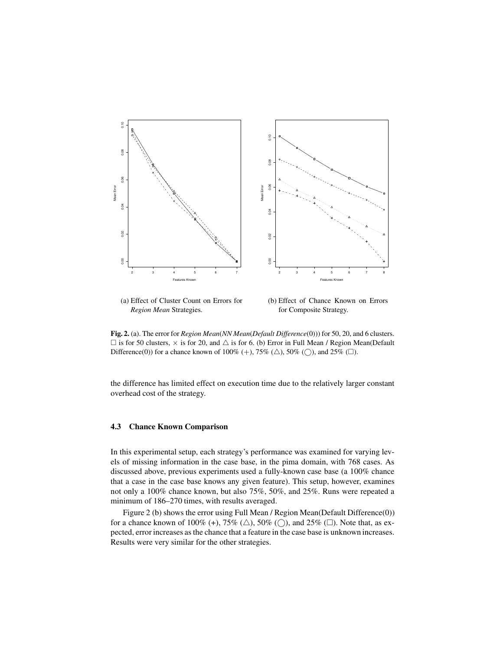

**Fig. 2.** (a). The error for *Region Mean*(*NN Mean*(*Default Difference*(0))) for 50, 20, and 6 clusters.  $\Box$  is for 50 clusters,  $\times$  is for 20, and  $\triangle$  is for 6. (b) Error in Full Mean / Region Mean(Default Difference(0)) for a chance known of 100% (+), 75% ( $\triangle$ ), 50% ( $\bigcirc$ ), and 25% ( $\Box$ ).

the difference has limited effect on execution time due to the relatively larger constant overhead cost of the strategy.

### **4.3 Chance Known Comparison**

In this experimental setup, each strategy's performance was examined for varying levels of missing information in the case base, in the pima domain, with 768 cases. As discussed above, previous experiments used a fully-known case base (a 100% chance that a case in the case base knows any given feature). This setup, however, examines not only a 100% chance known, but also 75%, 50%, and 25%. Runs were repeated a minimum of 186–270 times, with results averaged.

Figure 2 (b) shows the error using Full Mean / Region Mean(Default Difference(0)) for a chance known of 100% (+), 75% ( $\triangle$ ), 50% ( $\cap$ ), and 25% ( $\Box$ ). Note that, as expected, error increases as the chance that a feature in the case base is unknown increases. Results were very similar for the other strategies.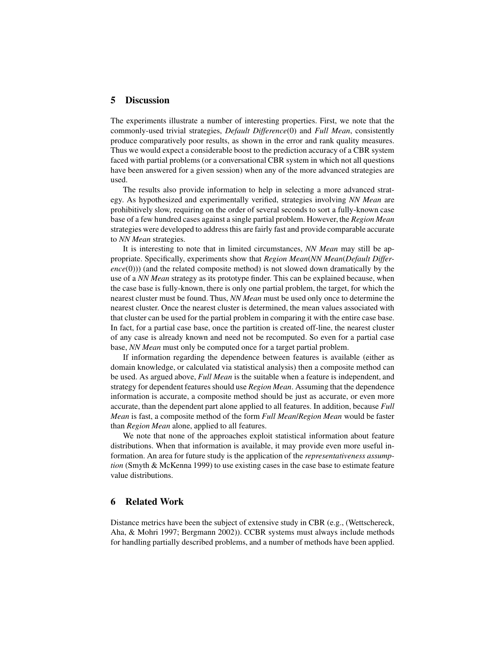# **5 Discussion**

The experiments illustrate a number of interesting properties. First, we note that the commonly-used trivial strategies, *Default Difference*(0) and *Full Mean*, consistently produce comparatively poor results, as shown in the error and rank quality measures. Thus we would expect a considerable boost to the prediction accuracy of a CBR system faced with partial problems (or a conversational CBR system in which not all questions have been answered for a given session) when any of the more advanced strategies are used.

The results also provide information to help in selecting a more advanced strategy. As hypothesized and experimentally verified, strategies involving *NN Mean* are prohibitively slow, requiring on the order of several seconds to sort a fully-known case base of a few hundred cases against a single partial problem. However, the *Region Mean* strategies were developed to address this are fairly fast and provide comparable accurate to *NN Mean* strategies.

It is interesting to note that in limited circumstances, *NN Mean* may still be appropriate. Specifically, experiments show that *Region Mean*(*NN Mean*(*Default Difference*(0))) (and the related composite method) is not slowed down dramatically by the use of a *NN Mean* strategy as its prototype finder. This can be explained because, when the case base is fully-known, there is only one partial problem, the target, for which the nearest cluster must be found. Thus, *NN Mean* must be used only once to determine the nearest cluster. Once the nearest cluster is determined, the mean values associated with that cluster can be used for the partial problem in comparing it with the entire case base. In fact, for a partial case base, once the partition is created off-line, the nearest cluster of any case is already known and need not be recomputed. So even for a partial case base, *NN Mean* must only be computed once for a target partial problem.

If information regarding the dependence between features is available (either as domain knowledge, or calculated via statistical analysis) then a composite method can be used. As argued above, *Full Mean* is the suitable when a feature is independent, and strategy for dependent features should use *Region Mean*. Assuming that the dependence information is accurate, a composite method should be just as accurate, or even more accurate, than the dependent part alone applied to all features. In addition, because *Full Mean* is fast, a composite method of the form *Full Mean*/*Region Mean* would be faster than *Region Mean* alone, applied to all features.

We note that none of the approaches exploit statistical information about feature distributions. When that information is available, it may provide even more useful information. An area for future study is the application of the *representativeness assumption* (Smyth & McKenna 1999) to use existing cases in the case base to estimate feature value distributions.

# **6 Related Work**

Distance metrics have been the subject of extensive study in CBR (e.g., (Wettschereck, Aha, & Mohri 1997; Bergmann 2002)). CCBR systems must always include methods for handling partially described problems, and a number of methods have been applied.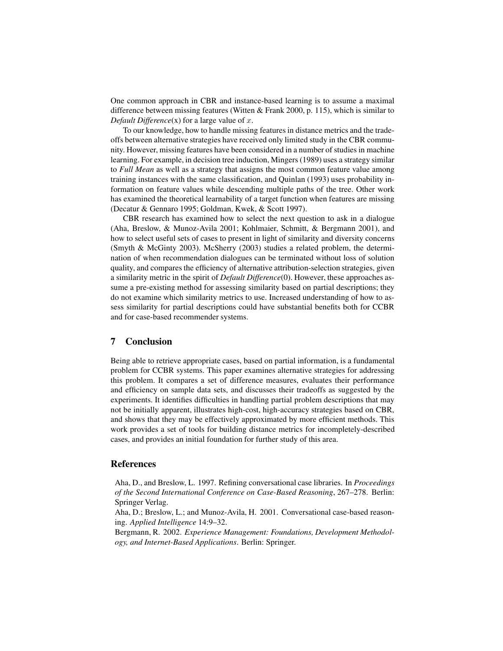One common approach in CBR and instance-based learning is to assume a maximal difference between missing features (Witten  $\&$  Frank 2000, p. 115), which is similar to *Default Difference*(x) for a large value of x.

To our knowledge, how to handle missing features in distance metrics and the tradeoffs between alternative strategies have received only limited study in the CBR community. However, missing features have been considered in a number of studies in machine learning. For example, in decision tree induction, Mingers (1989) uses a strategy similar to *Full Mean* as well as a strategy that assigns the most common feature value among training instances with the same classification, and Quinlan (1993) uses probability information on feature values while descending multiple paths of the tree. Other work has examined the theoretical learnability of a target function when features are missing (Decatur & Gennaro 1995; Goldman, Kwek, & Scott 1997).

CBR research has examined how to select the next question to ask in a dialogue (Aha, Breslow, & Munoz-Avila 2001; Kohlmaier, Schmitt, & Bergmann 2001), and how to select useful sets of cases to present in light of similarity and diversity concerns (Smyth & McGinty 2003). McSherry (2003) studies a related problem, the determination of when recommendation dialogues can be terminated without loss of solution quality, and compares the efficiency of alternative attribution-selection strategies, given a similarity metric in the spirit of *Default Difference*(0). However, these approaches assume a pre-existing method for assessing similarity based on partial descriptions; they do not examine which similarity metrics to use. Increased understanding of how to assess similarity for partial descriptions could have substantial benefits both for CCBR and for case-based recommender systems.

## **7 Conclusion**

Being able to retrieve appropriate cases, based on partial information, is a fundamental problem for CCBR systems. This paper examines alternative strategies for addressing this problem. It compares a set of difference measures, evaluates their performance and efficiency on sample data sets, and discusses their tradeoffs as suggested by the experiments. It identifies difficulties in handling partial problem descriptions that may not be initially apparent, illustrates high-cost, high-accuracy strategies based on CBR, and shows that they may be effectively approximated by more efficient methods. This work provides a set of tools for building distance metrics for incompletely-described cases, and provides an initial foundation for further study of this area.

#### **References**

Aha, D., and Breslow, L. 1997. Refining conversational case libraries. In *Proceedings of the Second International Conference on Case-Based Reasoning*, 267–278. Berlin: Springer Verlag.

Aha, D.; Breslow, L.; and Munoz-Avila, H. 2001. Conversational case-based reasoning. *Applied Intelligence* 14:9–32.

Bergmann, R. 2002. *Experience Management: Foundations, Development Methodology, and Internet-Based Applications*. Berlin: Springer.